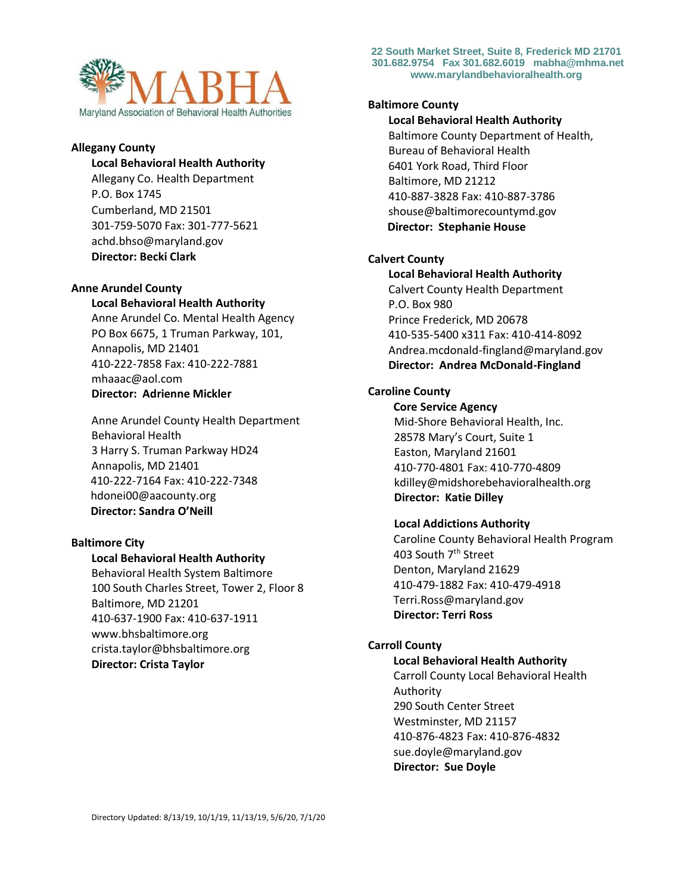

## **Allegany County**

#### **Local Behavioral Health Authority**

Allegany Co. Health Department P.O. Box 1745 Cumberland, MD 21501 301-759-5070 Fax: 301-777-5621 achd.bhso@maryland.gov **Director: Becki Clark**

### **Anne Arundel County**

## **Local Behavioral Health Authority**

Anne Arundel Co. Mental Health Agency PO Box 6675, 1 Truman Parkway, 101, Annapolis, MD 21401 410-222-7858 Fax: 410-222-7881 mhaaac@aol.com **Director: Adrienne Mickler** 

Anne Arundel County Health Department Behavioral Health 3 Harry S. Truman Parkway HD24 Annapolis, MD 21401 410-222-7164 Fax: 410-222-7348 hdonei00@aacounty.org  **Director: Sandra O'Neill**

# **Baltimore City**

## **Local Behavioral Health Authority**

Behavioral Health System Baltimore 100 South Charles Street, Tower 2, Floor 8 Baltimore, MD 21201 410-637-1900 Fax: 410-637-1911 www.bhsbaltimore.org crista.taylor@bhsbaltimore.org **Director: Crista Taylor**

**22 South Market Street, Suite 8, Frederick MD 21701 301.682.9754 Fax 301.682.6019 mabha@mhma.net www.marylandbehavioralhealth.org**

### **Baltimore County**

**Local Behavioral Health Authority** Baltimore County Department of Health, Bureau of Behavioral Health 6401 York Road, Third Floor Baltimore, MD 21212 410-887-3828 Fax: 410-887-3786 shouse@baltimorecountymd.gov  **Director: Stephanie House** 

# **Calvert County**

**Local Behavioral Health Authority** Calvert County Health Department P.O. Box 980 Prince Frederick, MD 20678 410-535-5400 x311 Fax: 410-414-8092 Andrea.mcdonald-fingland@maryland.gov **Director: Andrea McDonald-Fingland**

# **Caroline County**

 **Core Service Agency** Mid-Shore Behavioral Health, Inc. 28578 Mary's Court, Suite 1 Easton, Maryland 21601 410-770-4801 Fax: 410-770-4809 kdilley@midshorebehavioralhealth.org **Director: Katie Dilley** 

## **Local Addictions Authority**

 Caroline County Behavioral Health Program 403 South 7<sup>th</sup> Street Denton, Maryland 21629 410-479-1882 Fax: 410-479-4918 Terri.Ross@maryland.gov **Director: Terri Ross**

# **Carroll County**

### **Local Behavioral Health Authority**

Carroll County Local Behavioral Health Authority 290 South Center Street Westminster, MD 21157 410-876-4823 Fax: 410-876-4832 sue.doyle@maryland.gov **Director: Sue Doyle**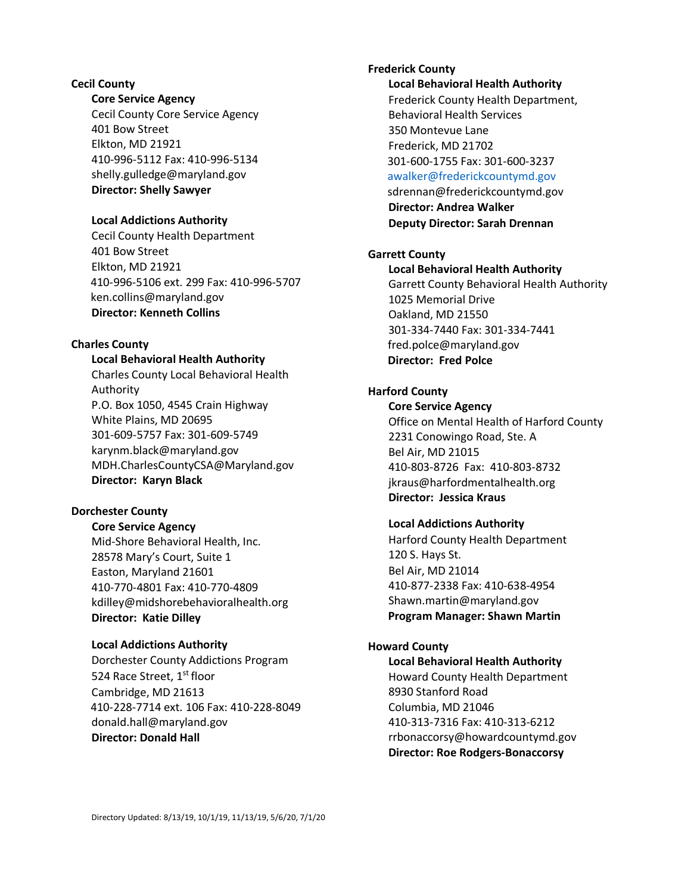# **Cecil County**

## **Core Service Agency**

Cecil County Core Service Agency 401 Bow Street Elkton, MD 21921 410-996-5112 Fax: 410-996-5134 shelly.gulledge@maryland.gov **Director: Shelly Sawyer**

### **Local Addictions Authority**

Cecil County Health Department 401 Bow Street Elkton, MD 21921 410-996-5106 ext. 299 Fax: 410-996-5707 ken.collins@maryland.gov **Director: Kenneth Collins**

# **Charles County**

## **Local Behavioral Health Authority**

Charles County Local Behavioral Health Authority P.O. Box 1050, 4545 Crain Highway White Plains, MD 20695 301-609-5757 Fax: 301-609-5749 karynm.black@maryland.gov MDH.CharlesCountyCSA@Maryland.gov **Director: Karyn Black**

# **Dorchester County**

 **Core Service Agency** Mid-Shore Behavioral Health, Inc. 28578 Mary's Court, Suite 1 Easton, Maryland 21601 410-770-4801 Fax: 410-770-4809 kdilley@midshorebehavioralhealth.org **Director: Katie Dilley** 

### **Local Addictions Authority**

Dorchester County Addictions Program 524 Race Street, 1st floor Cambridge, MD 21613 410-228-7714 ext. 106 Fax: 410-228-8049 donald.hall@maryland.gov **Director: Donald Hall**

# **Frederick County Local Behavioral Health Authority** Frederick County Health Department, Behavioral Health Services 350 Montevue Lane Frederick, MD 21702 301-600-1755 Fax: 301-600-3237 [awalker@frederickcountymd.gov](mailto:awalker@frederickcountymd.gov) sdrennan@frederickcountymd.gov

**Director: Andrea Walker Deputy Director: Sarah Drennan**

# **Garrett County**

**Local Behavioral Health Authority** Garrett County Behavioral Health Authority 1025 Memorial Drive Oakland, MD 21550 301-334-7440 Fax: 301-334-7441 fred.polce@maryland.gov  **Director: Fred Polce** 

# **Harford County**

**Core Service Agency** Office on Mental Health of Harford County 2231 Conowingo Road, Ste. A Bel Air, MD 21015 410-803-8726 Fax: 410-803-8732 jkraus@harfordmentalhealth.org **Director: Jessica Kraus**

## **Local Addictions Authority**

Harford County Health Department 120 S. Hays St. Bel Air, MD 21014 410-877-2338 Fax: 410-638-4954 Shawn.martin@maryland.gov **Program Manager: Shawn Martin**

#### **Howard County**

**Local Behavioral Health Authority** Howard County Health Department 8930 Stanford Road Columbia, MD 21046 410-313-7316 Fax: 410-313-6212 rrbonaccorsy@howardcountymd.gov **Director: Roe Rodgers-Bonaccorsy**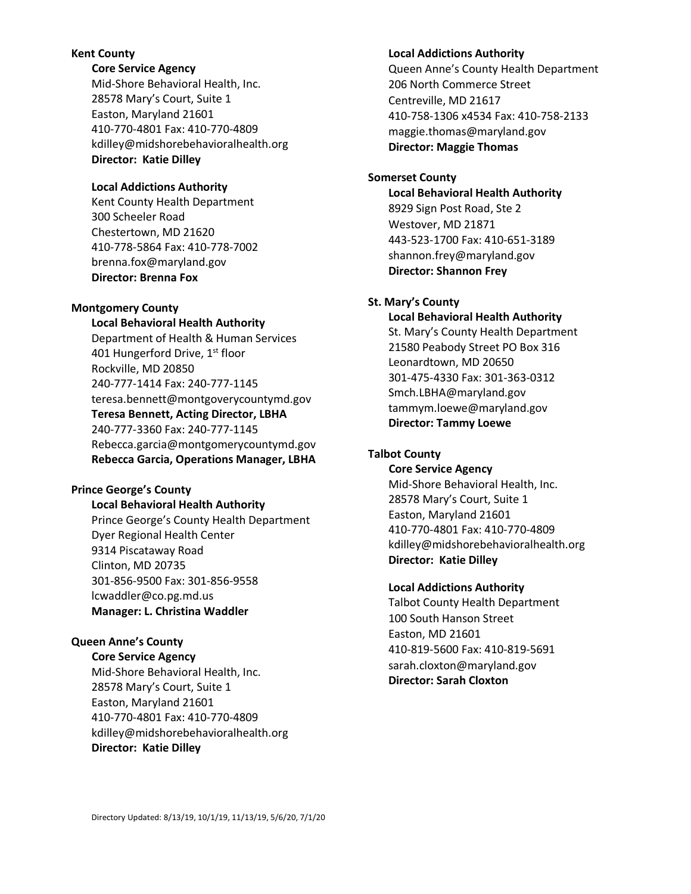## **Kent County**

 **Core Service Agency**

Mid-Shore Behavioral Health, Inc. 28578 Mary's Court, Suite 1 Easton, Maryland 21601 410-770-4801 Fax: 410-770-4809 kdilley@midshorebehavioralhealth.org **Director: Katie Dilley** 

# **Local Addictions Authority**

Kent County Health Department 300 Scheeler Road Chestertown, MD 21620 410-778-5864 Fax: 410-778-7002 brenna.fox@maryland.gov **Director: Brenna Fox**

# **Montgomery County**

**Local Behavioral Health Authority** Department of Health & Human Services 401 Hungerford Drive, 1<sup>st</sup> floor Rockville, MD 20850 240-777-1414 Fax: 240-777-1145 teresa.bennett@montgoverycountymd.gov **Teresa Bennett, Acting Director, LBHA** 240-777-3360 Fax: 240-777-1145 Rebecca.garcia@montgomerycountymd.gov **Rebecca Garcia, Operations Manager, LBHA**

# **Prince George's County**

**Local Behavioral Health Authority**

Prince George's County Health Department Dyer Regional Health Center 9314 Piscataway Road Clinton, MD 20735 301-856-9500 Fax: 301-856-9558 lcwaddler@co.pg.md.us **Manager: L. Christina Waddler**

# **Queen Anne's County**

 **Core Service Agency** Mid-Shore Behavioral Health, Inc. 28578 Mary's Court, Suite 1 Easton, Maryland 21601 410-770-4801 Fax: 410-770-4809 kdilley@midshorebehavioralhealth.org **Director: Katie Dilley** 

# **Local Addictions Authority**

Queen Anne's County Health Department 206 North Commerce Street Centreville, MD 21617 410-758-1306 x4534 Fax: 410-758-2133 maggie.thomas@maryland.gov **Director: Maggie Thomas**

# **Somerset County**

**Local Behavioral Health Authority** 8929 Sign Post Road, Ste 2 Westover, MD 21871 443-523-1700 Fax: 410-651-3189 shannon.frey@maryland.gov **Director: Shannon Frey**

# **St. Mary's County**

**Local Behavioral Health Authority**

St. Mary's County Health Department 21580 Peabody Street PO Box 316 Leonardtown, MD 20650 301-475-4330 Fax: 301-363-0312 Smch.LBHA@maryland.gov tammym.loewe@maryland.gov **Director: Tammy Loewe**

# **Talbot County**

 **Core Service Agency**

Mid-Shore Behavioral Health, Inc. 28578 Mary's Court, Suite 1 Easton, Maryland 21601 410-770-4801 Fax: 410-770-4809 kdilley@midshorebehavioralhealth.org **Director: Katie Dilley** 

# **Local Addictions Authority**

Talbot County Health Department 100 South Hanson Street Easton, MD 21601 410-819-5600 Fax: 410-819-5691 sarah.cloxton@maryland.gov **Director: Sarah Cloxton**